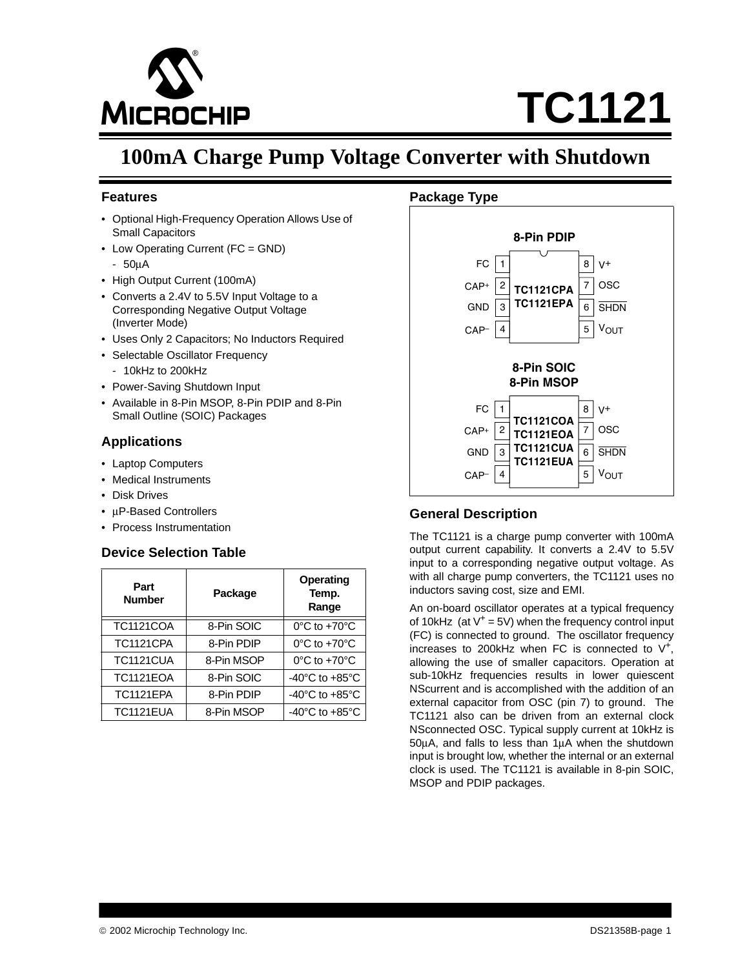

## **100mA Charge Pump Voltage Converter with Shutdown**

#### **Features**

- Optional High-Frequency Operation Allows Use of Small Capacitors
- Low Operating Current (FC = GND)
	- 50µA
- High Output Current (100mA)
- Converts a 2.4V to 5.5V Input Voltage to a Corresponding Negative Output Voltage (Inverter Mode)
- Uses Only 2 Capacitors; No Inductors Required
- Selectable Oscillator Frequency
	- 10kHz to 200kHz
- Power-Saving Shutdown Input
- Available in 8-Pin MSOP, 8-Pin PDIP and 8-Pin Small Outline (SOIC) Packages

## **Applications**

- Laptop Computers
- Medical Instruments
- Disk Drives
- µP-Based Controllers
- Process Instrumentation

### **Device Selection Table**

| Part<br><b>Number</b> | Package    | <b>Operating</b><br>Temp.<br>Range   |
|-----------------------|------------|--------------------------------------|
| <b>TC1121COA</b>      | 8-Pin SOIC | 0°C to +70°C                         |
| <b>TC1121CPA</b>      | 8-Pin PDIP | $0^{\circ}$ C to +70 $^{\circ}$ C    |
| <b>TC1121CUA</b>      | 8-Pin MSOP | $0^{\circ}$ C to +70 $^{\circ}$ C    |
| <b>TC1121EOA</b>      | 8-Pin SOIC | $-40^{\circ}$ C to $+85^{\circ}$ C   |
| <b>TC1121EPA</b>      | 8-Pin PDIP | -40 $^{\circ}$ C to +85 $^{\circ}$ C |
| TC1121EUA             | 8-Pin MSOP | -40 $^{\circ}$ C to +85 $^{\circ}$ C |

#### **Package Type**



## **General Description**

The TC1121 is a charge pump converter with 100mA output current capability. It converts a 2.4V to 5.5V input to a corresponding negative output voltage. As with all charge pump converters, the TC1121 uses no inductors saving cost, size and EMI.

An on-board oscillator operates at a typical frequency of 10kHz (at  $V^+$  = 5V) when the frequency control input (FC) is connected to ground. The oscillator frequency increases to 200kHz when FC is connected to  $V^+$ , allowing the use of smaller capacitors. Operation at sub-10kHz frequencies results in lower quiescent NScurrent and is accomplished with the addition of an external capacitor from OSC (pin 7) to ground. The TC1121 also can be driven from an external clock NSconnected OSC. Typical supply current at 10kHz is 50µA, and falls to less than 1µA when the shutdown input is brought low, whether the internal or an external clock is used. The TC1121 is available in 8-pin SOIC, MSOP and PDIP packages.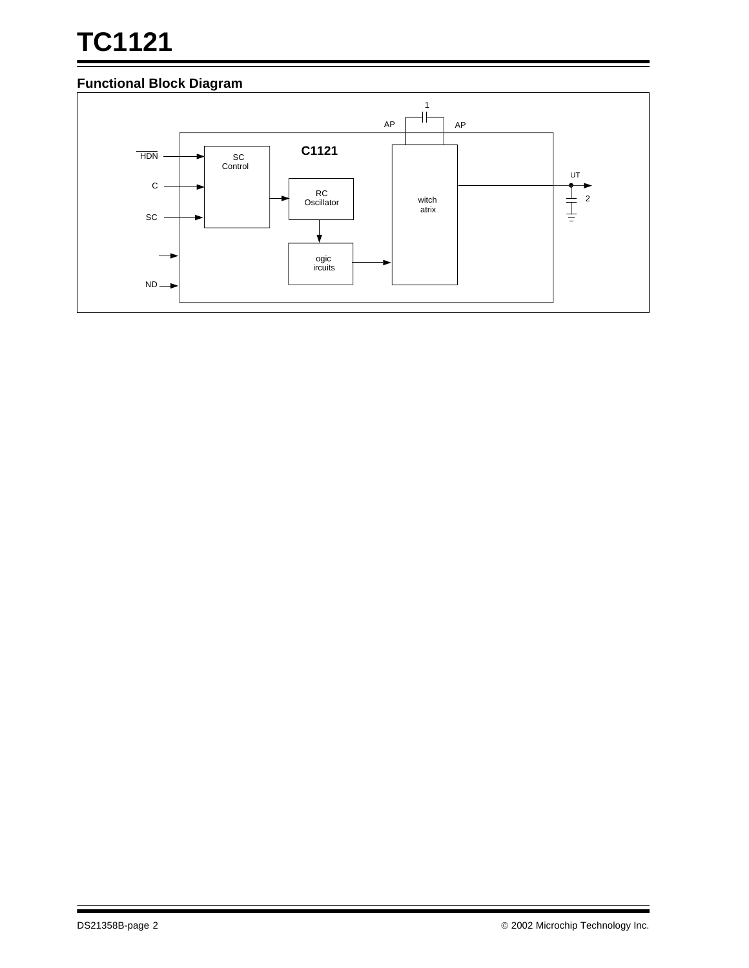# **TC1121**

## **Functional Block Diagram**



Ξ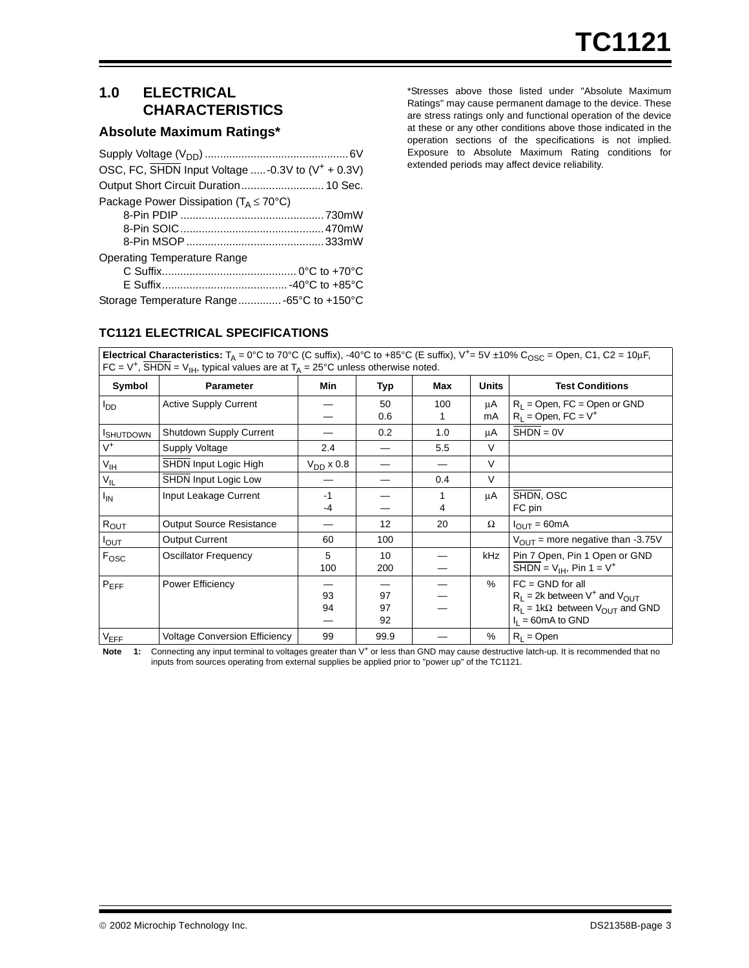## **1.0 ELECTRICAL CHARACTERISTICS**

## **Absolute Maximum Ratings\***

| OSC, FC, $\overline{\text{SHDN}}$ Input Voltage  -0.3V to $(V^+ + 0.3V)$ |
|--------------------------------------------------------------------------|
|                                                                          |
| Package Power Dissipation ( $T_A \leq 70^{\circ}$ C)                     |
|                                                                          |
|                                                                          |
|                                                                          |
| <b>Operating Temperature Range</b>                                       |
|                                                                          |
|                                                                          |
| Storage Temperature Range -65°C to +150°C                                |

\*Stresses above those listed under "Absolute Maximum Ratings" may cause permanent damage to the device. These are stress ratings only and functional operation of the device at these or any other conditions above those indicated in the operation sections of the specifications is not implied. Exposure to Absolute Maximum Rating conditions for extended periods may affect device reliability.

## **TC1121 ELECTRICAL SPECIFICATIONS**

| Electrical Characteristics: $T_A = 0^\circ C$ to 70°C (C suffix), -40°C to +85°C (E suffix), V <sup>+</sup> = 5V ±10% C <sub>OSC</sub> = Open, C1, C2 = 10µF,<br>FC = $V^+$ , SHDN = $V_{\text{IH}}$ , typical values are at T <sub>A</sub> = 25°C unless otherwise noted. |                                      |                |                   |        |              |                                                                                                                                                           |  |
|----------------------------------------------------------------------------------------------------------------------------------------------------------------------------------------------------------------------------------------------------------------------------|--------------------------------------|----------------|-------------------|--------|--------------|-----------------------------------------------------------------------------------------------------------------------------------------------------------|--|
| Symbol                                                                                                                                                                                                                                                                     | <b>Parameter</b>                     | Min            | Typ               | Max    | <b>Units</b> | <b>Test Conditions</b>                                                                                                                                    |  |
| $I_{DD}$                                                                                                                                                                                                                                                                   | <b>Active Supply Current</b>         |                | 50<br>0.6         | 100    | μA<br>mA     | $R_1$ = Open, FC = Open or GND<br>$R_1$ = Open, FC = $V^+$                                                                                                |  |
| <b>I</b> SHUTDOWN                                                                                                                                                                                                                                                          | Shutdown Supply Current              |                | 0.2               | 1.0    | μA           | $SHDN = OV$                                                                                                                                               |  |
| $V^+$                                                                                                                                                                                                                                                                      | Supply Voltage                       | 2.4            |                   | 5.5    | $\vee$       |                                                                                                                                                           |  |
| $V_{IH}$                                                                                                                                                                                                                                                                   | SHDN Input Logic High                | $V_{DD}$ x 0.8 |                   |        | $\vee$       |                                                                                                                                                           |  |
| $V_{IL}$                                                                                                                                                                                                                                                                   | SHDN Input Logic Low                 |                |                   | 0.4    | $\vee$       |                                                                                                                                                           |  |
| $I_{IN}$                                                                                                                                                                                                                                                                   | Input Leakage Current                | $-1$<br>$-4$   |                   | 1<br>4 | μA           | SHDN, OSC<br>FC pin                                                                                                                                       |  |
| $R_{\underline{OUT}}$                                                                                                                                                                                                                                                      | <b>Output Source Resistance</b>      |                | $12 \overline{ }$ | 20     | $\Omega$     | $I_{OUT} = 60mA$                                                                                                                                          |  |
| $I_{\text{OUT}}$                                                                                                                                                                                                                                                           | <b>Output Current</b>                | 60             | 100               |        |              | $V_{\text{OUT}}$ = more negative than -3.75V                                                                                                              |  |
| Fosc                                                                                                                                                                                                                                                                       | <b>Oscillator Frequency</b>          | 5<br>100       | 10<br>200         |        | kHz          | Pin 7 Open, Pin 1 Open or GND<br>$\overline{\text{SHDN}} = V_{\text{IH}}$ , Pin 1 = V <sup>+</sup>                                                        |  |
| $P_{EFF}$                                                                                                                                                                                                                                                                  | Power Efficiency                     | 93<br>94       | 97<br>97<br>92    |        | $\%$         | $FC = GND$ for all<br>$R_1$ = 2k between V <sup>+</sup> and V <sub>OUT</sub><br>$R_1 = 1k\Omega$ between $V_{OUT}$ and GND<br>$I_1 = 60 \text{mA}$ to GND |  |
| $V_{EFE}$                                                                                                                                                                                                                                                                  | <b>Voltage Conversion Efficiency</b> | 99             | 99.9              |        | $\%$         | $R_1 = \text{Open}$                                                                                                                                       |  |

Note 1: Connecting any input terminal to voltages greater than V<sup>+</sup> or less than GND may cause destructive latch-up. It is recommended that no inputs from sources operating from external supplies be applied prior to "power up" of the TC1121.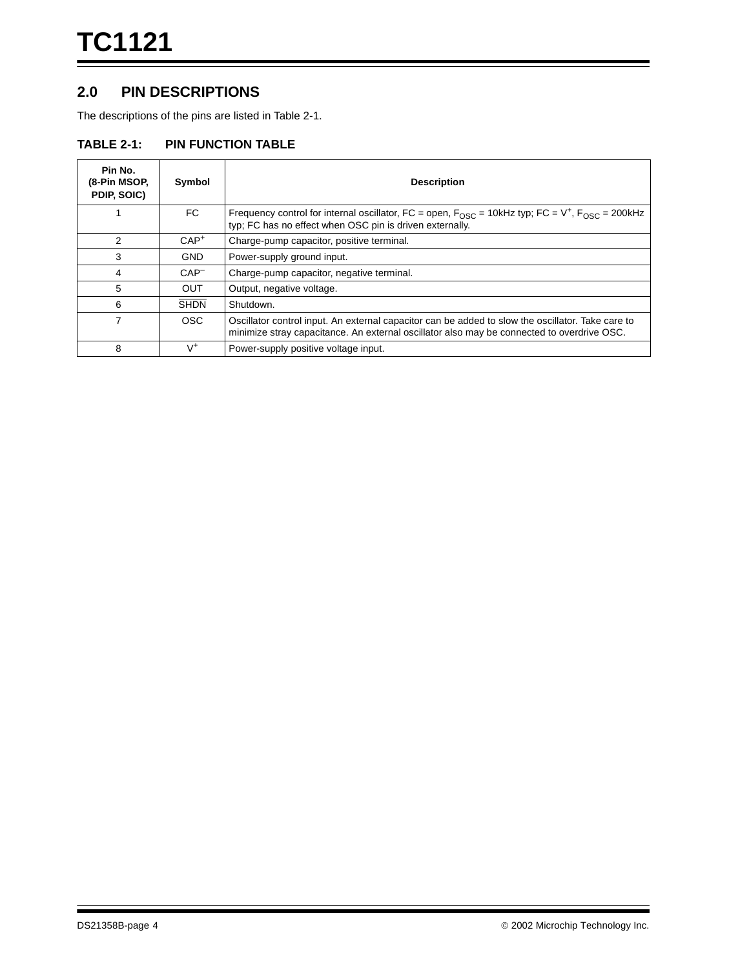## **2.0 PIN DESCRIPTIONS**

The descriptions of the pins are listed in Table 2-1.

## **TABLE 2-1: PIN FUNCTION TABLE**

| Pin No.<br>(8-Pin MSOP,<br>PDIP, SOIC) | Symbol      | <b>Description</b>                                                                                                                                                                              |
|----------------------------------------|-------------|-------------------------------------------------------------------------------------------------------------------------------------------------------------------------------------------------|
|                                        | FC.         | Frequency control for internal oscillator, FC = open, $F_{\text{OSC}}$ = 10kHz typ; FC = V <sup>+</sup> , $F_{\text{OSC}}$ = 200kHz<br>typ; FC has no effect when OSC pin is driven externally. |
| 2                                      | $CAP+$      | Charge-pump capacitor, positive terminal.                                                                                                                                                       |
| 3                                      | <b>GND</b>  | Power-supply ground input.                                                                                                                                                                      |
| 4                                      | $CAP^-$     | Charge-pump capacitor, negative terminal.                                                                                                                                                       |
| 5                                      | <b>OUT</b>  | Output, negative voltage.                                                                                                                                                                       |
| 6                                      | <b>SHDN</b> | Shutdown.                                                                                                                                                                                       |
| 7                                      | <b>OSC</b>  | Oscillator control input. An external capacitor can be added to slow the oscillator. Take care to<br>minimize stray capacitance. An external oscillator also may be connected to overdrive OSC. |
| 8                                      | $V^+$       | Power-supply positive voltage input.                                                                                                                                                            |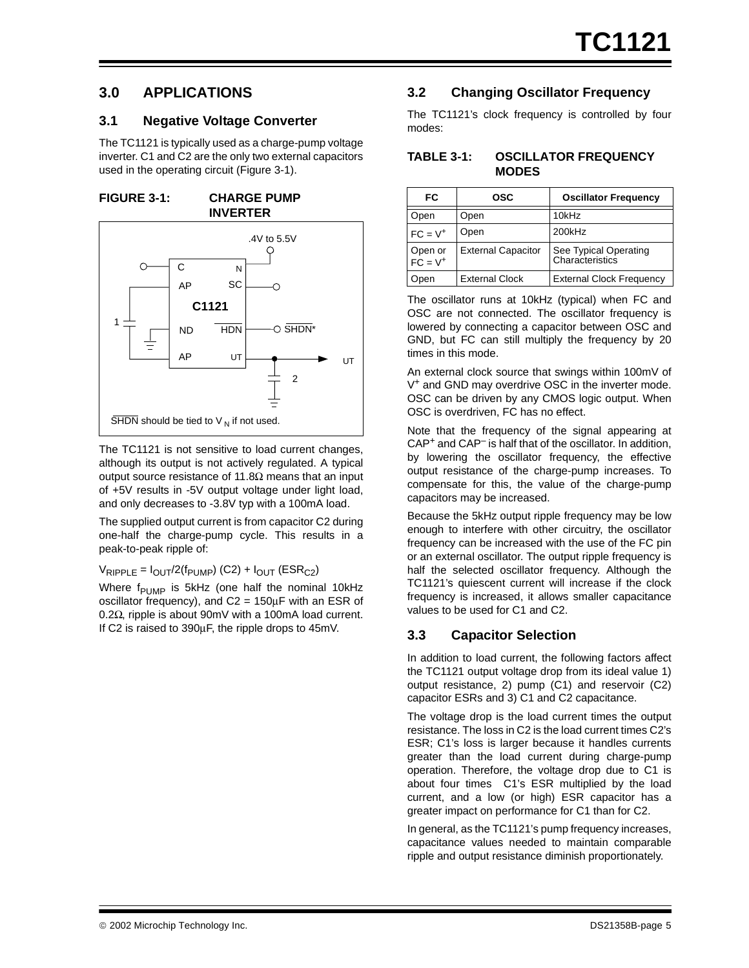## **3.0 APPLICATIONS**

## **3.1 Negative Voltage Converter**

The TC1121 is typically used as a charge-pump voltage inverter. C1 and C2 are the only two external capacitors used in the operating circuit (Figure 3-1).

#### **FIGURE 3-1: CHARGE PUMP INVERTER**



The TC1121 is not sensitive to load current changes, although its output is not actively regulated. A typical output source resistance of 11.8Ω means that an input of +5V results in -5V output voltage under light load, and only decreases to -3.8V typ with a 100mA load.

The supplied output current is from capacitor C2 during one-half the charge-pump cycle. This results in a peak-to-peak ripple of:

#### $V_{RIPPLE} = I_{OUT}/2(f_{PUMP}) (C2) + I_{OUT} (ESR<sub>C2</sub>)$

Where  $f_{\text{PlIMP}}$  is 5kHz (one half the nominal 10kHz oscillator frequency), and  $C2 = 150 \mu F$  with an ESR of 0.2Ω, ripple is about 90mV with a 100mA load current. If C2 is raised to 390µF, the ripple drops to 45mV.

## **3.2 Changing Oscillator Frequency**

The TC1121's clock frequency is controlled by four modes:

#### **TABLE 3-1: OSCILLATOR FREQUENCY MODES**

| FC                    | osc                       | <b>Oscillator Frequency</b>              |
|-----------------------|---------------------------|------------------------------------------|
| Open                  | Open                      | 10kHz                                    |
| $FC = V^+$            | Open                      | 200kHz                                   |
| Open or<br>$FC = V^+$ | <b>External Capacitor</b> | See Typical Operating<br>Characteristics |
| )pen                  | <b>External Clock</b>     | <b>External Clock Frequency</b>          |

The oscillator runs at 10kHz (typical) when FC and OSC are not connected. The oscillator frequency is lowered by connecting a capacitor between OSC and GND, but FC can still multiply the frequency by 20 times in this mode.

An external clock source that swings within 100mV of V<sup>+</sup> and GND may overdrive OSC in the inverter mode. OSC can be driven by any CMOS logic output. When OSC is overdriven, FC has no effect.

Note that the frequency of the signal appearing at CAP+ and CAP– is half that of the oscillator. In addition, by lowering the oscillator frequency, the effective output resistance of the charge-pump increases. To compensate for this, the value of the charge-pump capacitors may be increased.

Because the 5kHz output ripple frequency may be low enough to interfere with other circuitry, the oscillator frequency can be increased with the use of the FC pin or an external oscillator. The output ripple frequency is half the selected oscillator frequency. Although the TC1121's quiescent current will increase if the clock frequency is increased, it allows smaller capacitance values to be used for C1 and C2.

## **3.3 Capacitor Selection**

In addition to load current, the following factors affect the TC1121 output voltage drop from its ideal value 1) output resistance, 2) pump (C1) and reservoir (C2) capacitor ESRs and 3) C1 and C2 capacitance.

The voltage drop is the load current times the output resistance. The loss in C2 is the load current times C2's ESR; C1's loss is larger because it handles currents greater than the load current during charge-pump operation. Therefore, the voltage drop due to C1 is about four times C1's ESR multiplied by the load current, and a low (or high) ESR capacitor has a greater impact on performance for C1 than for C2.

In general, as the TC1121's pump frequency increases, capacitance values needed to maintain comparable ripple and output resistance diminish proportionately.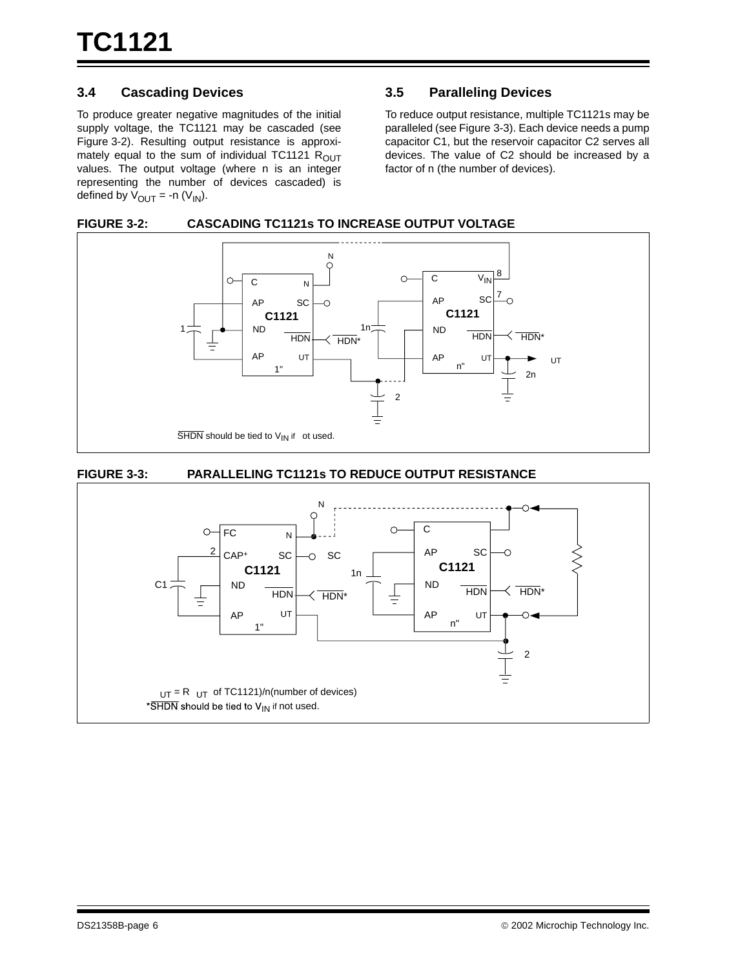## **3.4 Cascading Devices**

To produce greater negative magnitudes of the initial supply voltage, the TC1121 may be cascaded (see Figure 3-2). Resulting output resistance is approximately equal to the sum of individual TC1121  $R_{OUT}$ values. The output voltage (where n is an integer representing the number of devices cascaded) is defined by  $V_{\text{OUT}} = -n (V_{\text{IN}})$ .

### **3.5 Paralleling Devices**

To reduce output resistance, multiple TC1121s may be paralleled (see Figure 3-3). Each device needs a pump capacitor C1, but the reservoir capacitor C2 serves all devices. The value of C2 should be increased by a factor of n (the number of devices).





#### **FIGURE 3-3: PARALLELING TC1121s TO REDUCE OUTPUT RESISTANCE**

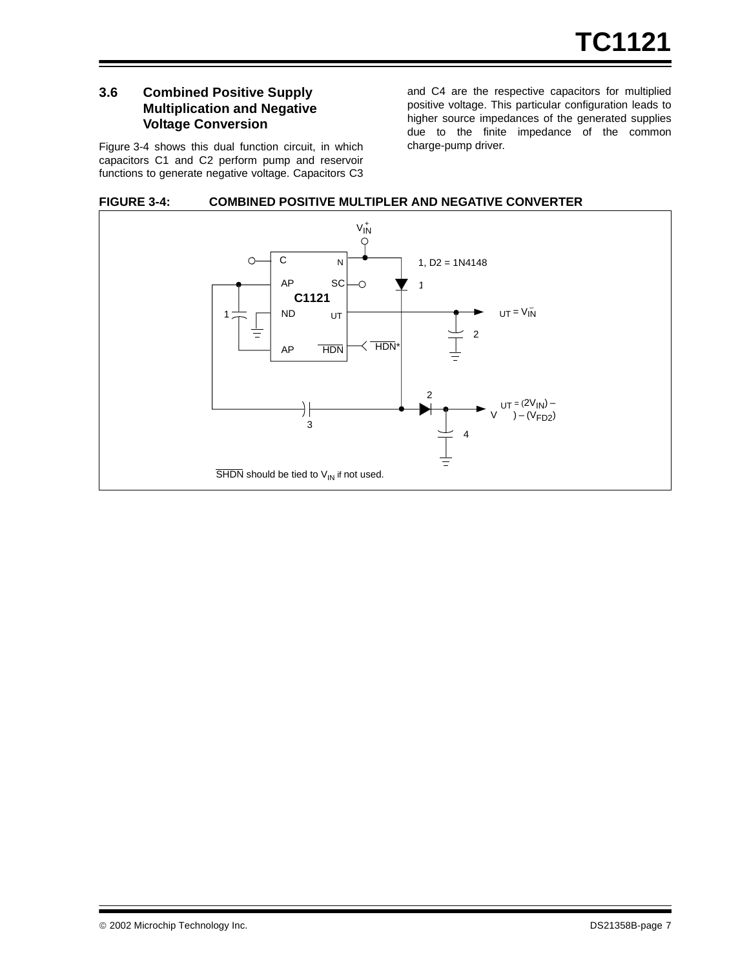## **3.6 Combined Positive Supply Multiplication and Negative Voltage Conversion**

Figure 3-4 shows this dual function circuit, in which capacitors C1 and C2 perform pump and reservoir functions to generate negative voltage. Capacitors C3 and C4 are the respective capacitors for multiplied positive voltage. This particular configuration leads to higher source impedances of the generated supplies due to the finite impedance of the common charge-pump driver.



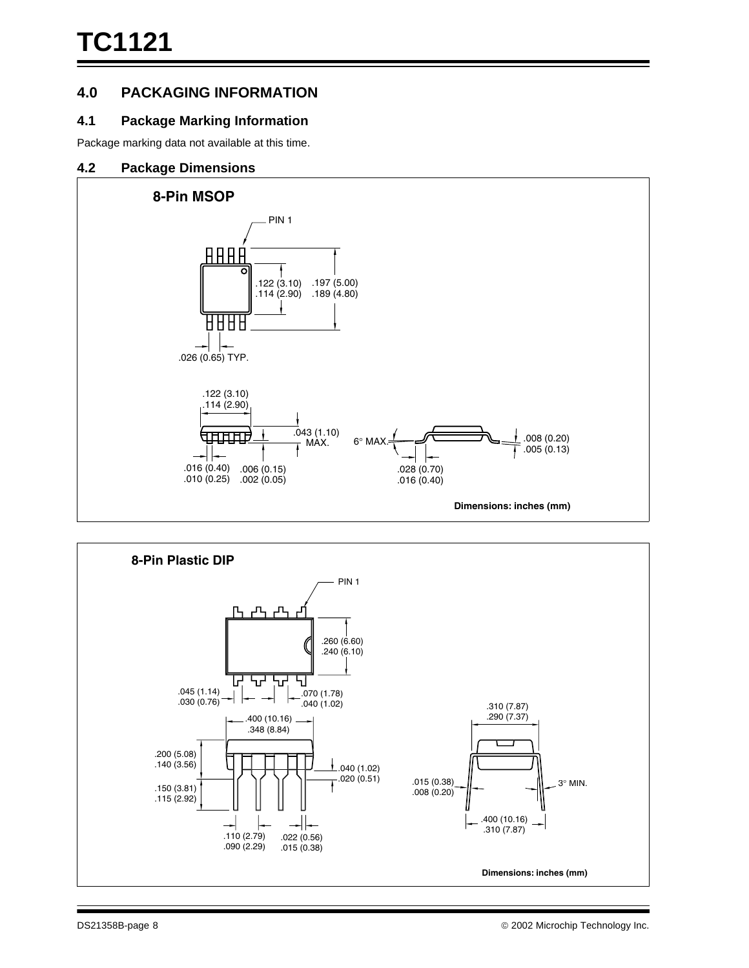## **4.0 PACKAGING INFORMATION**

## **4.1 Package Marking Information**

Package marking data not available at this time.

### **4.2 Package Dimensions**



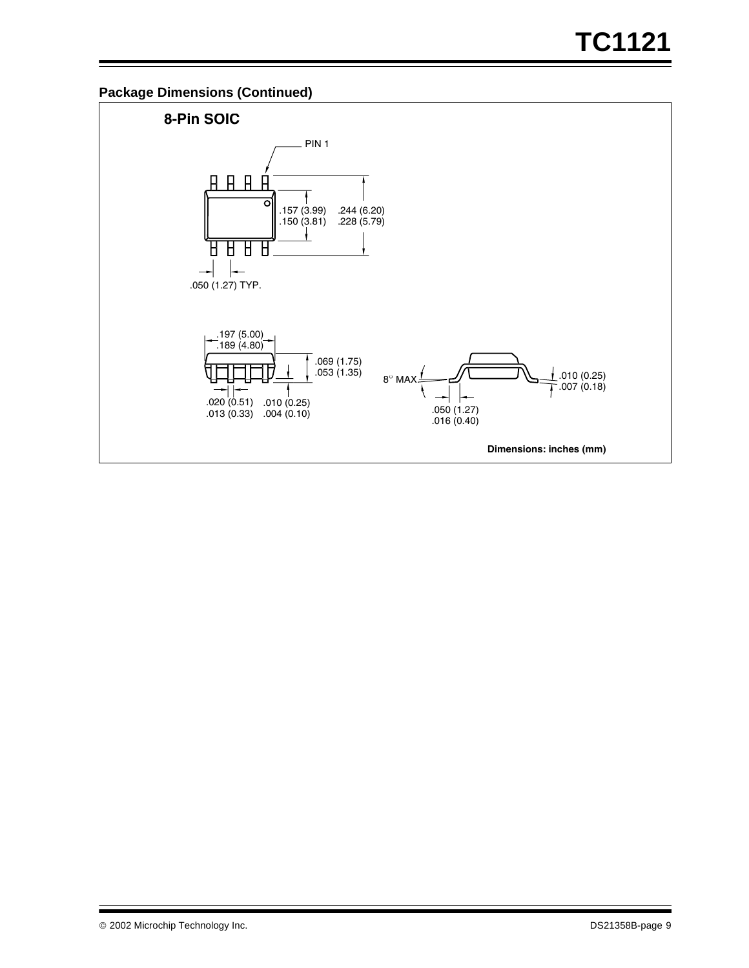## **Package Dimensions (Continued)**

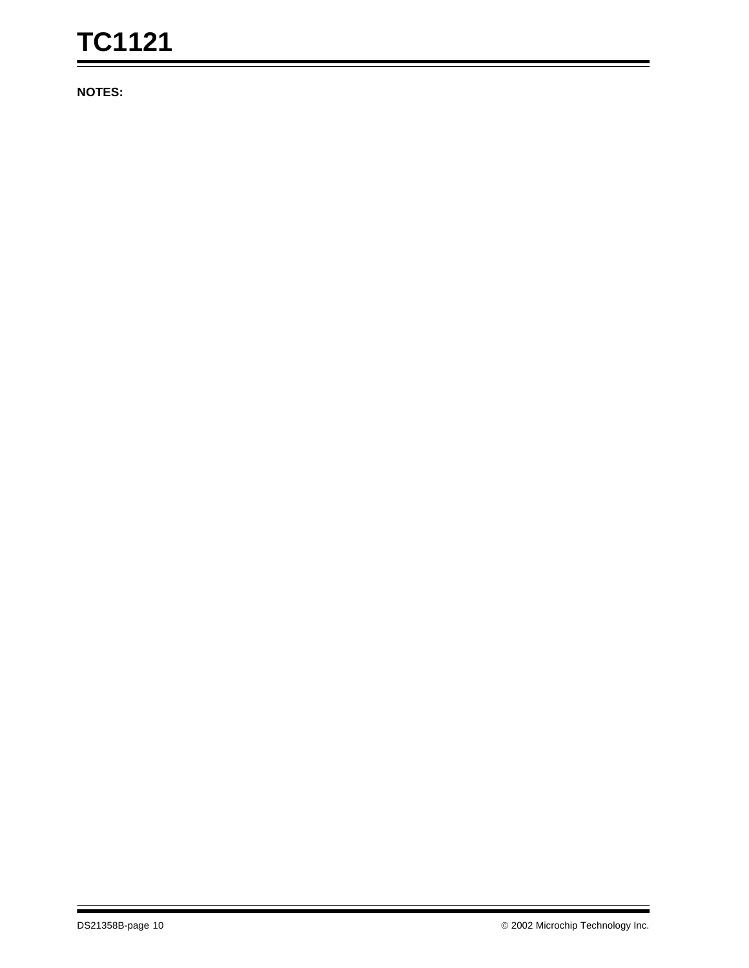## **TC1121**

**NOTES:**

Ξ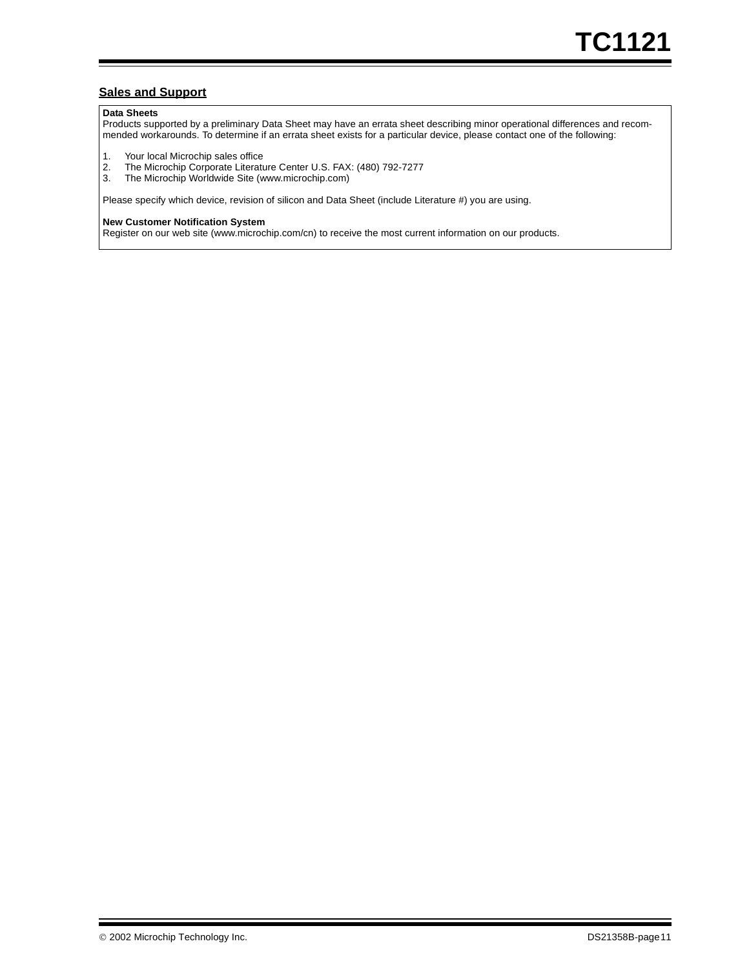#### **Sales and Support**

#### **Data Sheets**

Products supported by a preliminary Data Sheet may have an errata sheet describing minor operational differences and recommended workarounds. To determine if an errata sheet exists for a particular device, please contact one of the following:

- 
- 1. Your local Microchip sales office<br>2. The Microchip Corporate Literatu 2. The Microchip Corporate Literature Center U.S. FAX: (480) 792-7277<br>3. The Microchip Worldwide Site (www.microchip.com)
- The Microchip Worldwide Site (www.microchip.com)

Please specify which device, revision of silicon and Data Sheet (include Literature #) you are using.

#### **New Customer Notification System**

Register on our web site (www.microchip.com/cn) to receive the most current information on our products.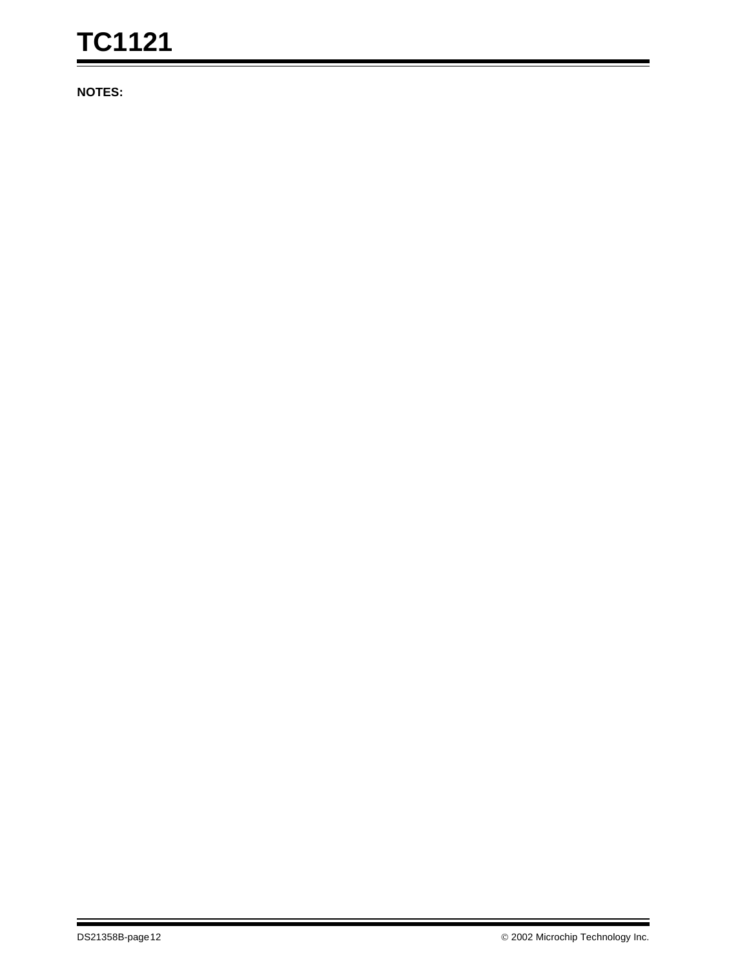## **TC1121**

**NOTES:**

۰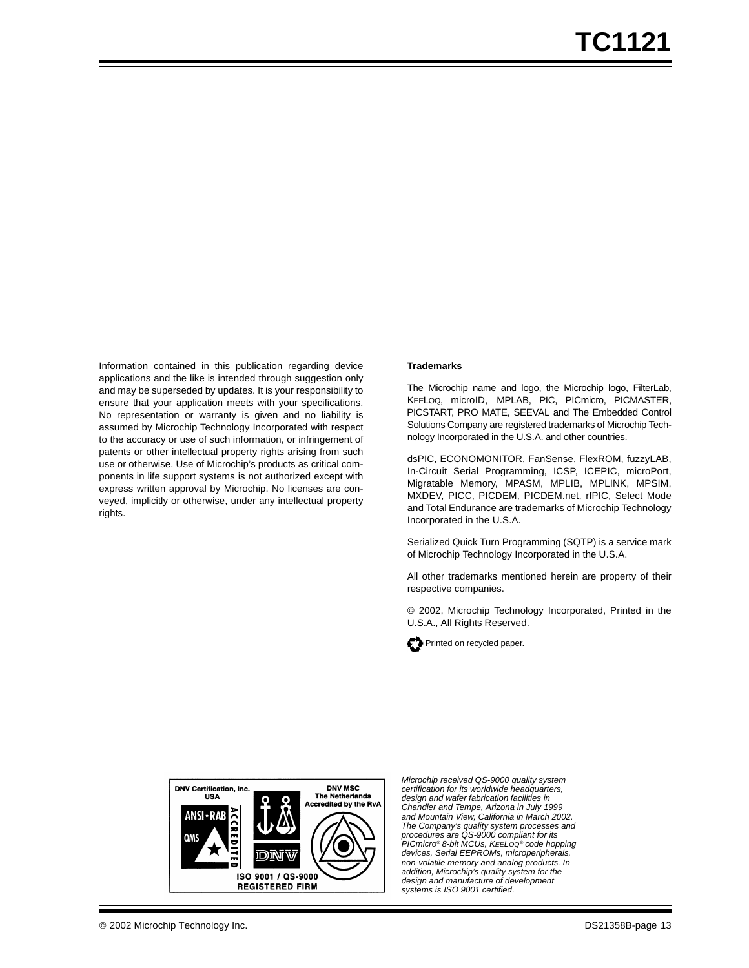Information contained in this publication regarding device applications and the like is intended through suggestion only and may be superseded by updates. It is your responsibility to ensure that your application meets with your specifications. No representation or warranty is given and no liability is assumed by Microchip Technology Incorporated with respect to the accuracy or use of such information, or infringement of patents or other intellectual property rights arising from such use or otherwise. Use of Microchip's products as critical components in life support systems is not authorized except with express written approval by Microchip. No licenses are conveyed, implicitly or otherwise, under any intellectual property rights.

#### **Trademarks**

The Microchip name and logo, the Microchip logo, FilterLab, KEELOQ, microID, MPLAB, PIC, PICmicro, PICMASTER, PICSTART, PRO MATE, SEEVAL and The Embedded Control Solutions Company are registered trademarks of Microchip Technology Incorporated in the U.S.A. and other countries.

dsPIC, ECONOMONITOR, FanSense, FlexROM, fuzzyLAB, In-Circuit Serial Programming, ICSP, ICEPIC, microPort, Migratable Memory, MPASM, MPLIB, MPLINK, MPSIM, MXDEV, PICC, PICDEM, PICDEM.net, rfPIC, Select Mode and Total Endurance are trademarks of Microchip Technology Incorporated in the U.S.A.

Serialized Quick Turn Programming (SQTP) is a service mark of Microchip Technology Incorporated in the U.S.A.

All other trademarks mentioned herein are property of their respective companies.

© 2002, Microchip Technology Incorporated, Printed in the U.S.A., All Rights Reserved.





*Microchip received QS-9000 quality system certification for its worldwide headquarters, design and wafer fabrication facilities in Chandler and Tempe, Arizona in July 1999 and Mountain View, California in March 2002. The Company's quality system processes and procedures are QS-9000 compliant for its PICmicro® 8-bit MCUs, KEELOQ® code hopping devices, Serial EEPROMs, microperipherals, non-volatile memory and analog products. In addition, Microchip's quality system for the design and manufacture of development systems is ISO 9001 certified.*